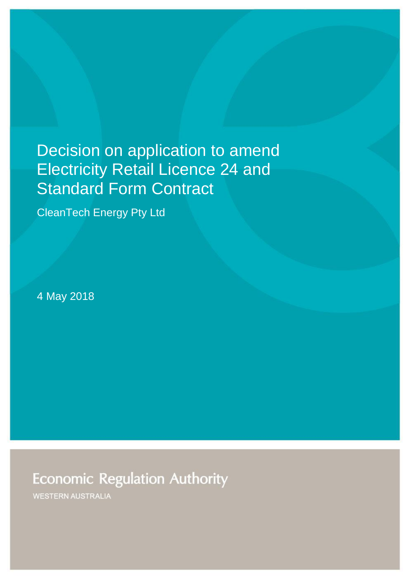# Decision on application to amend Electricity Retail Licence 24 and Standard Form Contract

CleanTech Energy Pty Ltd

4 May 2018

**Economic Regulation Authority** 

WESTERN AUSTRALIA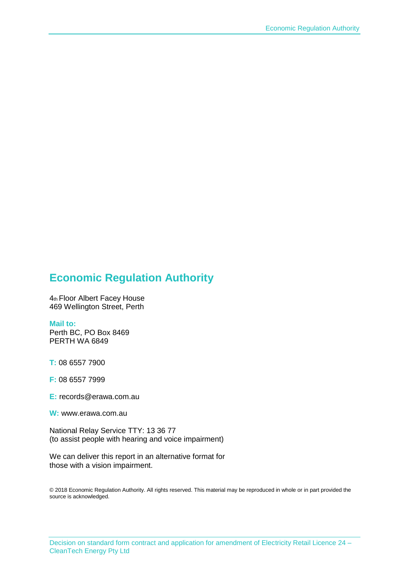# **Economic Regulation Authority**

4th Floor Albert Facey House 469 Wellington Street, Perth

#### **Mail to:**

Perth BC, PO Box 8469 PERTH WA 6849

**T:** 08 6557 7900

**F:** 08 6557 7999

**E:** records@erawa.com.au

**W:** www.erawa.com.au

National Relay Service TTY: 13 36 77 (to assist people with hearing and voice impairment)

We can deliver this report in an alternative format for those with a vision impairment.

© 2018 Economic Regulation Authority. All rights reserved. This material may be reproduced in whole or in part provided the source is acknowledged.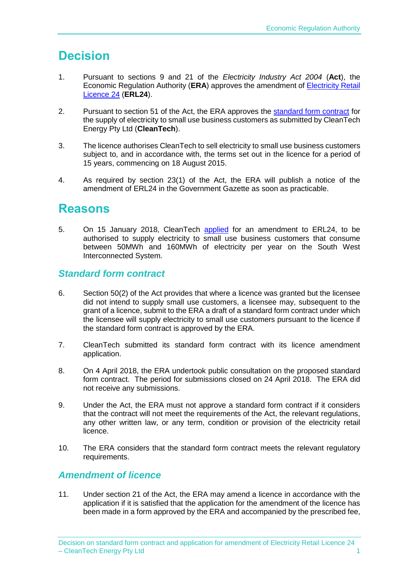# **Decision**

- 1. Pursuant to sections 9 and 21 of the *Electricity Industry Act 2004* (**Act**), the Economic Regulation Authority (**ERA**) approves the amendment of [Electricity Retail](http://www.erawa.com.au/cproot/18980/2/ERL24%20-%20Licence%20effective%204%20May%202018.PDF)  [Licence 24](http://www.erawa.com.au/cproot/18980/2/ERL24%20-%20Licence%20effective%204%20May%202018.PDF) (**ERL24**).
- 2. Pursuant to section 51 of the Act, the ERA approves the [standard form contract](http://www.erawa.com.au/cproot/18979/2/Standard%20Form%20Contract%20-%20CleanTech%20Energy%20Pty%20Ltd%20-%20ERL024.PDF) for the supply of electricity to small use business customers as submitted by CleanTech Energy Pty Ltd (**CleanTech**).
- 3. The licence authorises CleanTech to sell electricity to small use business customers subject to, and in accordance with, the terms set out in the licence for a period of 15 years, commencing on 18 August 2015.
- 4. As required by section 23(1) of the Act, the ERA will publish a notice of the amendment of ERL24 in the Government Gazette as soon as practicable.

# **Reasons**

5. On 15 January 2018, CleanTech [applied](http://www.erawa.com.au/cproot/18686/2/20180206_ERL24_Application%20Form.PDF) for an amendment to ERL24, to be authorised to supply electricity to small use business customers that consume between 50MWh and 160MWh of electricity per year on the South West Interconnected System.

## *Standard form contract*

- 6. Section 50(2) of the Act provides that where a licence was granted but the licensee did not intend to supply small use customers, a licensee may, subsequent to the grant of a licence, submit to the ERA a draft of a standard form contract under which the licensee will supply electricity to small use customers pursuant to the licence if the standard form contract is approved by the ERA.
- 7. CleanTech submitted its standard form contract with its licence amendment application.
- 8. On 4 April 2018, the ERA undertook public consultation on the proposed standard form contract. The period for submissions closed on 24 April 2018. The ERA did not receive any submissions.
- 9. Under the Act, the ERA must not approve a standard form contract if it considers that the contract will not meet the requirements of the Act, the relevant regulations, any other written law, or any term, condition or provision of the electricity retail licence.
- 10. The ERA considers that the standard form contract meets the relevant regulatory requirements.

## *Amendment of licence*

11. Under section 21 of the Act, the ERA may amend a licence in accordance with the application if it is satisfied that the application for the amendment of the licence has been made in a form approved by the ERA and accompanied by the prescribed fee,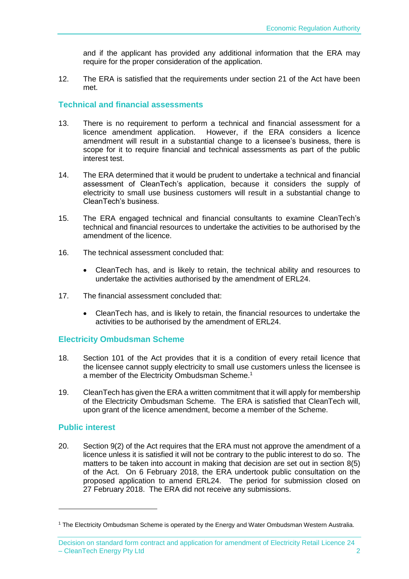and if the applicant has provided any additional information that the ERA may require for the proper consideration of the application.

12. The ERA is satisfied that the requirements under section 21 of the Act have been met.

### **Technical and financial assessments**

- 13. There is no requirement to perform a technical and financial assessment for a licence amendment application. However, if the ERA considers a licence amendment will result in a substantial change to a licensee's business, there is scope for it to require financial and technical assessments as part of the public interest test.
- 14. The ERA determined that it would be prudent to undertake a technical and financial assessment of CleanTech's application, because it considers the supply of electricity to small use business customers will result in a substantial change to CleanTech's business.
- 15. The ERA engaged technical and financial consultants to examine CleanTech's technical and financial resources to undertake the activities to be authorised by the amendment of the licence.
- 16. The technical assessment concluded that:
	- CleanTech has, and is likely to retain, the technical ability and resources to undertake the activities authorised by the amendment of ERL24.
- 17. The financial assessment concluded that:
	- CleanTech has, and is likely to retain, the financial resources to undertake the activities to be authorised by the amendment of ERL24.

#### **Electricity Ombudsman Scheme**

- 18. Section 101 of the Act provides that it is a condition of every retail licence that the licensee cannot supply electricity to small use customers unless the licensee is a member of the Electricity Ombudsman Scheme.<sup>1</sup>
- 19. CleanTech has given the ERA a written commitment that it will apply for membership of the Electricity Ombudsman Scheme. The ERA is satisfied that CleanTech will, upon grant of the licence amendment, become a member of the Scheme.

#### **Public interest**

1

20. Section 9(2) of the Act requires that the ERA must not approve the amendment of a licence unless it is satisfied it will not be contrary to the public interest to do so. The matters to be taken into account in making that decision are set out in section 8(5) of the Act. On 6 February 2018, the ERA undertook public consultation on the proposed application to amend ERL24. The period for submission closed on 27 February 2018. The ERA did not receive any submissions.

<sup>1</sup> The Electricity Ombudsman Scheme is operated by the Energy and Water Ombudsman Western Australia.

Decision on standard form contract and application for amendment of Electricity Retail Licence 24 – CleanTech Energy Pty Ltd 2